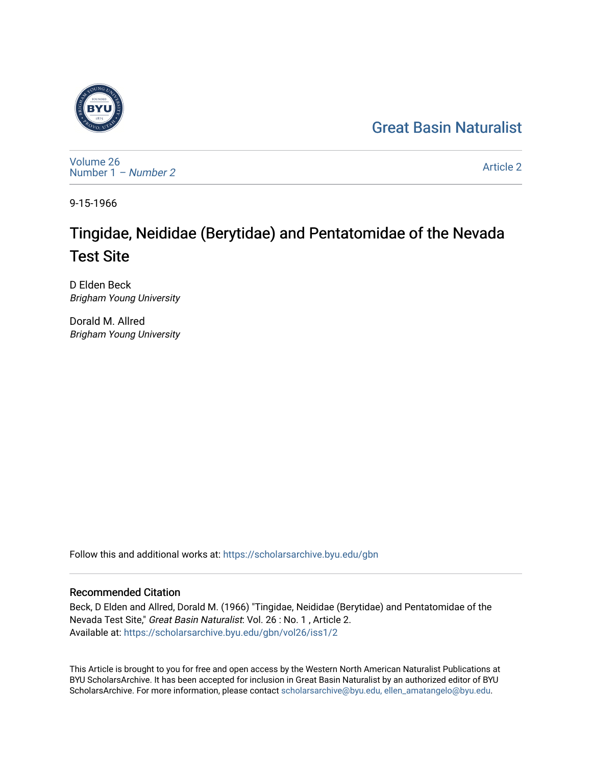## [Great Basin Naturalist](https://scholarsarchive.byu.edu/gbn)



[Volume 26](https://scholarsarchive.byu.edu/gbn/vol26) [Number 1](https://scholarsarchive.byu.edu/gbn/vol26/iss1) – Number 2

[Article 2](https://scholarsarchive.byu.edu/gbn/vol26/iss1/2) 

9-15-1966

# Tingidae, Neididae (Berytidae) and Pentatomidae of the Nevada Test Site

D Elden Beck Brigham Young University

Dorald M. Allred Brigham Young University

Follow this and additional works at: [https://scholarsarchive.byu.edu/gbn](https://scholarsarchive.byu.edu/gbn?utm_source=scholarsarchive.byu.edu%2Fgbn%2Fvol26%2Fiss1%2F2&utm_medium=PDF&utm_campaign=PDFCoverPages) 

### Recommended Citation

Beck, D Elden and Allred, Dorald M. (1966) "Tingidae, Neididae (Berytidae) and Pentatomidae of the Nevada Test Site," Great Basin Naturalist: Vol. 26 : No. 1 , Article 2. Available at: [https://scholarsarchive.byu.edu/gbn/vol26/iss1/2](https://scholarsarchive.byu.edu/gbn/vol26/iss1/2?utm_source=scholarsarchive.byu.edu%2Fgbn%2Fvol26%2Fiss1%2F2&utm_medium=PDF&utm_campaign=PDFCoverPages)

This Article is brought to you for free and open access by the Western North American Naturalist Publications at BYU ScholarsArchive. It has been accepted for inclusion in Great Basin Naturalist by an authorized editor of BYU ScholarsArchive. For more information, please contact [scholarsarchive@byu.edu, ellen\\_amatangelo@byu.edu.](mailto:scholarsarchive@byu.edu,%20ellen_amatangelo@byu.edu)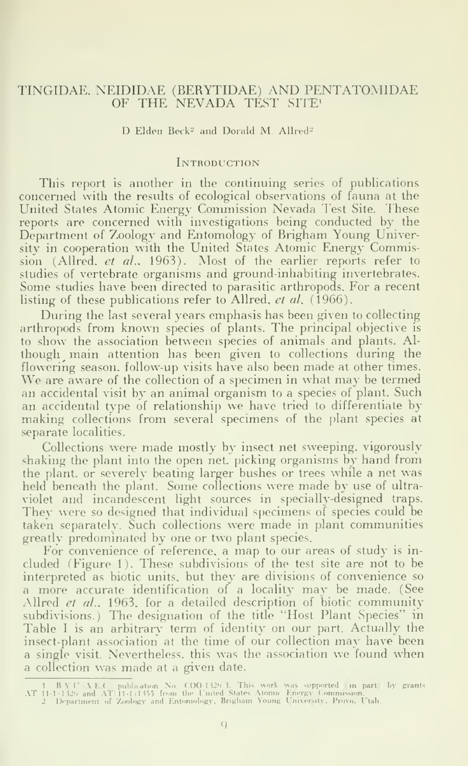### TINGIDAE. NEIDIDAE (BERYTIDAE) AND PENTATOMIDAE OF THE NEVADA TEST SITE!

#### D Elden Beck<sup>2</sup> and Dorald M. Allred<sup>2</sup>

#### **INTRODUCTION**

This report is another in the continuing series of publications concerned with the resuhs of ecological observations of fauna at the United States Atomic Energy Commission Nevada Test Site. These reports are concerned with investigations being conducted by the Department of Zoology and Entomology of Brigham Young University in cooperation with the United States Atomic Energy Commission (Allred, et al., 1963). Most of the earlier reports refer to studies of vertebrate organisms and ground-inhabiting invertebrates. Some studies have been directed to parasitic arthropods. For a recent listing of these publications refer to Allred, et al. (1966).

During the last several years emphasis has been given to collecting arthropods from known species of plants. The principal objective is to show the association between species of animals and plants. Although main attention has been given to collections during the flowering season, follow-up visits have also been made at other times. We are aware of the collection of a specimen in what may be termed an accidental visit by an animal organism to <sup>a</sup> species of plant. Such an accidental type of relationship we have tried to differentiate by making collections from several specimens of the plant species at separate localities.

Collections were made mostly by insect net sweeping, vigorously shaking the plant into the open net. picking organisms by hand from the plant, or severely beating larger bushes or trees while a net was held beneath the plant. Some collections were made by use of ultraviolet and incandescent light sources in specially-designed traps. They were so designed that individual specimens of species could be taken separately. Such collections were made in plant communities greatly predominated by one or two plant species.

For convenience of reference, a map to our areas of study is included (Figure 1). These subdivisions of the test site are not to be interpreted as biotic units, but they are divisions of convenience so <sup>a</sup> more accurate identification of <sup>a</sup> locality may be made. (See Allred et al., 1963. for a detailed description of biotic community subdivisions.) The designation of the title "Host Plant Species'' in Table <sup>I</sup> is an arbitrary term of identity on our part. Actually the insect-plant association at the time of our collection may have been a single visit. Nevertheless, this was the association we found when a collection was made at <sup>a</sup> given date.

<sup>1</sup> B.Y.U.-A.E.C., publication No. COO-1326-3. This work was supported on particly grants<br>AT 11-1+1326 and AT 11-1+1455 from the United States Atomic Energy Commission.<br>2 Department of Zoology and Entoniology, Brigham Young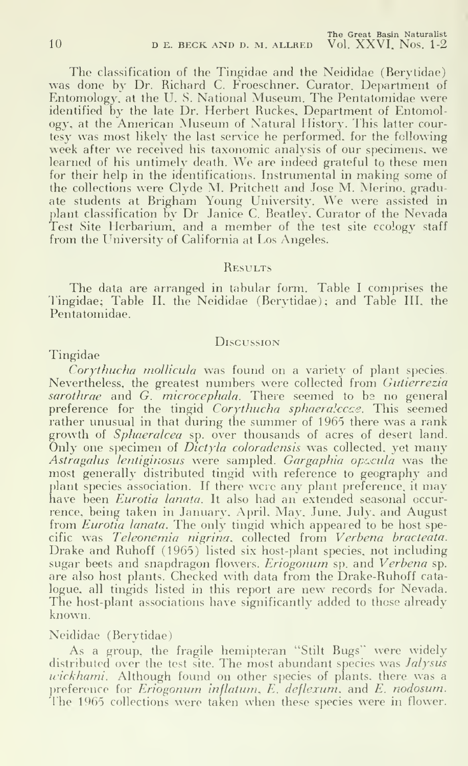The classification of the Tingidae and the Neididae (Berytidae) was done by Dr. Richard C. Froeschner. Curator. Department of Entomology, at the U. S. National Museum. The Pentatomidae were identified by the late Dr. Herbert Ruckes, Department of Entomology, at the American Museum of Natural History. This latter courtesy was most likely the last service he performed, for the following week after we received his taxonomic analysis of our specimens, we learned of his untimely death. We are indeed grateful to these men for their help in the identifications. Instrumental in making some of the collections were Clyde M. Pritchett and Jose M. Merino, gradu-ate students at Brigham Young University. We were assisted in plant classification by Dr Janice C. Beatley. Curator of the Nevada Test Site Herbarium, and a member of the test site ecology staff from the University of California at Los Angeles.

#### **RESULTS**

The data are arranged in tabular form. Table <sup>I</sup> comprises the Tingidae; Table IL the Neididae (Berytidae); and Table III. the Pentatomidae.

#### **Discussion**

#### Tingidae

Corythucha mollicula was found on a variety of plant species. Nevertheless, the greatest numbers were collected from Gutierrezia sarothrae and  $G$ , microcephala. There seemed to be no general preference for the tingid Corythucha sphaeralccce. This seemed rather unusual in that during the summer of 1965 there was <sup>a</sup> rank growth of Sphaeralcea sp. over thousands of acres of desert land.  $\hat{O}$ nly one specimen of *Dictyla coloradensis* was collected, yet many Astragalus lentiginosus were sampled. Gargaphia opocula was the most generally distributed tingid with reference to geography and plant species association. If there were any plant preference, it may have been *Eurotia lanata*. It also had an extended seasonal occurrence, being taken in January. April. May, June. July, and August from *Eurotia lanata*. The only tingid which appeared to be host specific was Teleonemia nigrina. collected from Verbena bracteata. Drake and Ruhoff (1965) listed six host-plant species, not including sugar beets and snapdragon flowers. Eriogonum sp. and Verbena sp. are also host plants. Checked with data from the Drake-Ruhoff cata logue, all tingids listed in this report are new records for Nevada. The host-plant associations have significantly added to those already known.

#### Neididae (Berytidae)

As a group, the fragile hemipteran "Stilt Bugs" were widely distributed over the test site. The most abundant species was Jalysus wickhami. Although found on other species of plants, there was a preference for  $Eri\overset{\circ}{o}gonum$  inflatum,  $E'$ , deflexum, and  $E$ , nodosum. The 1965 collections were taken when these species were in flower.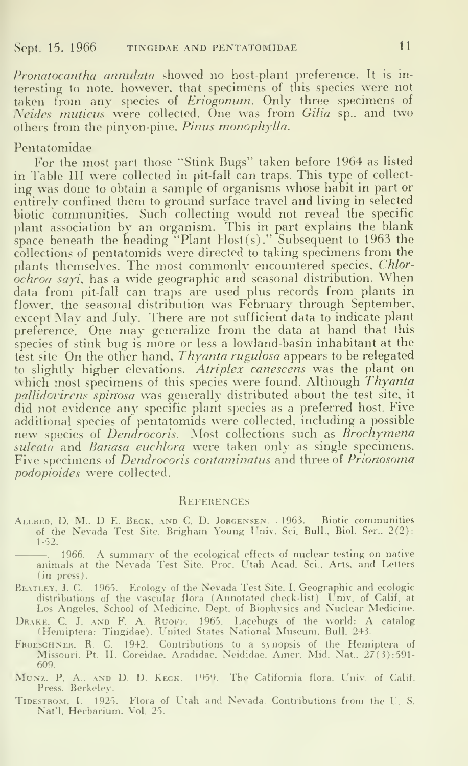Pronatocantha annulata showed no host-plant preference. It is interesting to note, however, that specimens of this species were not taken from any species of *Eriogonum*. Only three specimens of Neides muticus were collected. One was from Gilia sp., and two others from the pinyon-pine, Pinus monophylla.

Pentatomidae<br>For the most part those "Stink Bugs" taken before 1964 as listed in Table III were collected in pit-fall can traps. This type of collecting was done to obtain a sample of organisms whose habit in part or entirely confined them to ground surface travel and living in selected biotic communities. Such collecting would not reveal the specific plant association by an organism. This in part explains the blank space beneath the heading  ${}^{8}$ Plant Host(s)." Subsequent to 1963 the collections of pentatomids were directed to taking specimens from the plants themselves. The most commonly encountered species, Chlor $ochroa sayi$ , has a wide geographic and seasonal distribution. When data from pit-fall can traps are used plus records from plants in flower, the seasonal distribution was February through September, except May and July. There are not sufficient data to indicate plant preference. One may generalize from the data at hand that this species of stink bug is more or less a lowland-basin inhabitant at the test site On the other hand, Thyanta rugulosa appears to be relegated to slightly higher elevations. Atriplex canescens was the plant on which most specimens of this species were found. Although Thyanta pallidovirens spinosa was generally distributed about the test site, it did not evidence any specific plant species as a preferred host. Five additional species of pentatomids were collected, including a possible new species of Dendrocoris. Most collections such as Brochymena sulcata and *Bariasa euchlora* were taken only as single specimens. Five specimens of Dendrocoris contaminatus and three of Prionosoma podopioides were collected.

#### **REFERENCES**

Allred. D. M.. D E. Beck, and C. D. Jorgensen. . 1963. Biotic communities of the Nevada Test Site. Brigham Young Univ. Sci. Bull.. Biol. Ser., 2(2): 1-52.

. 1966. A summary of the ecological effects of nuclear testing on native animals at the Nevada Test Site. Proc. Utah Acad. Sci.. Arts, and Letters (in press).

BLATLEY, J. C. 1965. Ecology of the Nevada Test Site. I. Geographic and ecologic distributions of the vascular flora (Annotated check-list). Univ. of Calif, at<br>Los Angeles, School of Medicine, Dept. of Biophysics and Nuclear Medicine.

Drake. C. J. and F. A. Ruofk. 1965. Lacebugs of the world: A catalog (Hemiptera: Tingidae). L'nited States National Museum. Bull. 243.

- F"koeschner. R. C. 1942. Contributions to a synopsis of the Hemiptera of Missouri. Pt. II. Coreidae. Aradidae, Neididae. Amer. Mid. Nat., 27(3) :591-
- 609. MuNz, p. A.. AND D. D. Keck. 1959. The California flora. Univ. of Calif. Press. Berkeley.
- Tide.strom. I, 1925. Flora of Utah and Nevada. Contributions from the U. S. Nat'l. Herbarium, Vol. 25.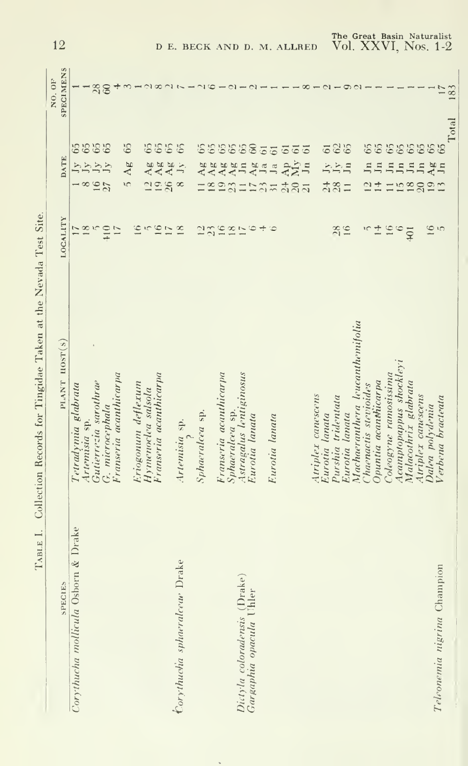| Site.<br>í                                                 |
|------------------------------------------------------------|
| i                                                          |
| I                                                          |
|                                                            |
|                                                            |
| $\overline{a}$<br>ŗ                                        |
| こうしょう ふくこう<br>į                                            |
|                                                            |
| Í                                                          |
|                                                            |
| i<br>i<br>$\overline{\phantom{a}}$<br><b>Contract</b><br>í |
|                                                            |

| <b>SPECIES</b>                      | PLANT HOST(S)                        | LOCALITY              | <b>DATE</b>                                                           | <b>SPECIMENS</b><br>NO. OF |
|-------------------------------------|--------------------------------------|-----------------------|-----------------------------------------------------------------------|----------------------------|
| Corythucha mollicula Osborn & Drake | Tetradymia glabrata                  |                       |                                                                       |                            |
|                                     | Artemisia sp.                        | 18                    | $\rightarrow \infty$                                                  |                            |
|                                     | Gutierrezia sarothrae                |                       |                                                                       |                            |
|                                     | G. microcephala                      | $+10$                 | 5555<br>RANA<br>$\frac{16}{27}$                                       | $\frac{28}{60}$            |
|                                     | Franseria acanthicarpa               | 17                    |                                                                       |                            |
|                                     |                                      |                       | 65<br>$\mathbf{A}\mathbf{g}$<br>$\overline{c}$                        |                            |
|                                     | Eriogonum deflexum                   | $\overline{16}$       |                                                                       |                            |
|                                     | Hymenoclea salsola                   | S                     |                                                                       |                            |
|                                     | Franseria acanthicarpa               |                       |                                                                       |                            |
|                                     |                                      | $\frac{6}{17}$        | 5555<br>12 Ag<br>19 Ag<br>26 Ag                                       |                            |
| Corythucha sphaeralceur Drake       | Artemisia sp.                        | $\frac{8}{18}$        | $\frac{1}{2}$<br>$\infty$                                             |                            |
|                                     |                                      |                       |                                                                       |                            |
|                                     | Sphaeralcea sp.                      |                       | Ag                                                                    |                            |
|                                     |                                      |                       | $\overline{A}$ g                                                      |                            |
|                                     | Franseria acauthicarpa               |                       |                                                                       |                            |
|                                     | Sphaeralcea sp.                      | 23222                 | Ag<br>Ag                                                              |                            |
| Dictyla coloradensis (Drake)        | Astragalus lentiginosus              |                       | $\overline{\mathbf{J}}$ n                                             |                            |
| Gargaphia opacula Uhler             | Eurotia lanata                       | $\circ$               | 555556<br>$A_B$                                                       |                            |
|                                     |                                      | ÷                     | $\ddot{o}$<br>Ja                                                      |                            |
|                                     | Eurotia lanata                       |                       | $61\,$<br>Ja<br>menghungu 192                                         |                            |
|                                     |                                      |                       | $61\,$                                                                |                            |
|                                     |                                      |                       |                                                                       |                            |
|                                     |                                      |                       | $\frac{\text{Ap}}{\text{My}}$ 61                                      |                            |
|                                     | Atriplex canescens                   |                       |                                                                       |                            |
|                                     | Eurotia lanata                       |                       |                                                                       |                            |
|                                     | Purshia tridentata                   |                       | 525<br>$\frac{1}{2}$ $\frac{1}{2}$ $\frac{1}{2}$<br>$\frac{148}{281}$ |                            |
|                                     | Eurotia lanata                       | $\frac{28}{16}$       |                                                                       |                            |
|                                     | Machaeranthera leucanthemifolia      |                       |                                                                       |                            |
|                                     | Chaenacus stevioides                 | $\tilde{\phantom{a}}$ | J <sub>n</sub>                                                        |                            |
|                                     | Dpuntia acanthicarpa                 | $\pm$                 | $\mathbf{I}$<br>$\frac{1}{2}$                                         |                            |
|                                     | Coleogyne ramosissima                | $16\,$                | Jn<br>$\equiv$                                                        |                            |
|                                     |                                      |                       |                                                                       |                            |
|                                     | Acamptopappus shockleyi              | $\circ$<br>$+01$      | J <sub>n</sub>                                                        |                            |
|                                     | Malacothrix glabrata                 |                       | J <sub>n</sub>                                                        |                            |
|                                     | Atriplex canescens                   |                       | $\ln$                                                                 |                            |
| Teleonemia nigrina Champion         | Verbena bracteata<br>Dalea polydenia | 16<br>$\tilde{z}$     | 88888888<br>$A$ g n<br>12820                                          |                            |
|                                     |                                      |                       |                                                                       | 183<br>Total               |

 $\sim$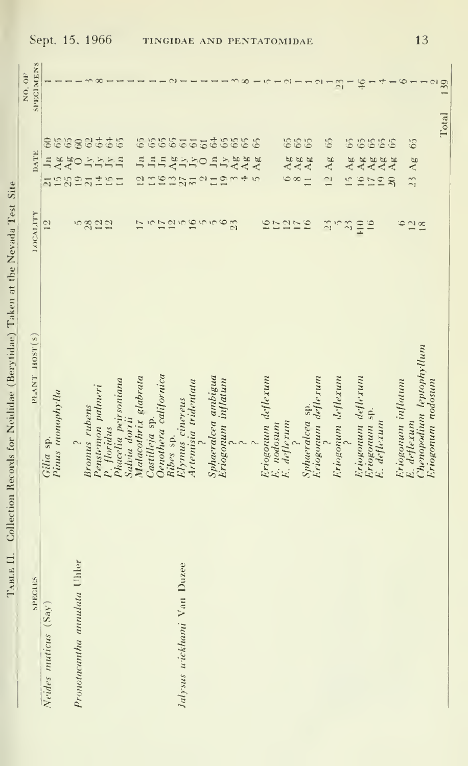| SPECIES                      | PLANT HOST(S)             | LOCALITY                       | DATE                                                                        | SPECIMENS<br>NO. 0F |
|------------------------------|---------------------------|--------------------------------|-----------------------------------------------------------------------------|---------------------|
|                              |                           |                                |                                                                             |                     |
| Neides muticus (Say)         | Gilia sp.                 | $\frac{1}{2}$                  | $60\,$<br>$\Xi$<br>$\overline{z}$                                           |                     |
|                              | Pinus monophylla          |                                | 658<br>15 <sub>25</sub>                                                     |                     |
|                              |                           |                                | Ag                                                                          |                     |
| Pronotacantha annulata Uhler |                           |                                | $\circ$<br>19                                                               |                     |
|                              | Bronus rubens             |                                | $\overline{\omega}$                                                         |                     |
|                              | Penstemon palmeri         |                                |                                                                             |                     |
|                              | P. floridus               | 5822                           | 837<br>$\frac{1}{2} \frac{1}{2} \frac{1}{2} \frac{1}{2}$<br>$\frac{45}{45}$ |                     |
|                              | Phacelia peirsoniana      |                                | 65<br>$J_{11}$                                                              |                     |
|                              | Salvia dorrii             |                                |                                                                             |                     |
|                              | Malacothrix glabrata      | $\overline{11}$                | 65<br>$J_{11}$<br>$\overline{\omega}$                                       |                     |
|                              | Castilleja sp.            |                                | $\mathbf{I}_{n}$                                                            |                     |
|                              | Oenothera californica     |                                | J <sub>11</sub>                                                             |                     |
|                              | Ribes sp.                 |                                |                                                                             |                     |
| Jalysus wickhami Van Duzee   | Elymus cinereus           | ちにほちほうちゅ                       | $\frac{Ag}{Jy}$<br>$\frac{16}{27}$                                          |                     |
|                              | Artemisia tridentata      |                                | $\overline{31}$                                                             |                     |
|                              |                           |                                | $\ddot{5}$                                                                  |                     |
|                              | Sphaeralcea ambigua       |                                | Jn                                                                          |                     |
|                              | Eriogonum inflatum        |                                | $\overline{J}$                                                              |                     |
|                              |                           | $\overline{23}$                | 8885555888<br>$A\mathbf{g}$<br>$\frac{1}{2}$                                |                     |
|                              |                           |                                | AA                                                                          | $\infty$            |
|                              |                           |                                | 65<br>$5 \text{Ag}$                                                         |                     |
|                              | Eriogonum deflexum        |                                |                                                                             |                     |
|                              | E. nodosum<br>E. deflexum | 0525                           |                                                                             |                     |
|                              |                           |                                |                                                                             |                     |
|                              |                           |                                | 655<br>$648$<br>$848$                                                       |                     |
|                              | Sphaeralcea sp.           | $\overline{16}$                |                                                                             |                     |
|                              |                           |                                | $11 \text{ Ag}$                                                             |                     |
|                              | Eriogonum deflexum        | $\frac{2}{3}$                  |                                                                             |                     |
|                              | Eriogonum deflexum        |                                | 65<br>Ag<br>$\frac{1}{2}$                                                   |                     |
|                              |                           | $\widetilde{\phantom{a}}$<br>٣ | 65<br>AB<br>$\frac{1}{2}$                                                   | $\mathbb{Z}$        |
|                              | Eriogonum deflexum        |                                |                                                                             |                     |
|                              |                           | $+10$                          | 16 Ag<br>17 Ag                                                              | $\mathfrak{F}$      |
|                              | Eriogonum sp.             | $\ddot{ }$                     |                                                                             |                     |
|                              | E. deflexum               |                                | 6656<br>19 Ag<br>20 Ag                                                      |                     |
|                              |                           |                                | Ag                                                                          |                     |
|                              | Eriogonum inflatum        | $\ddot{\circ}$                 |                                                                             |                     |
|                              | E. deflexum               | $\frac{21}{18}$                | 65<br>.3Ag                                                                  |                     |
|                              | Chenopodium leptophyllum  |                                |                                                                             |                     |
|                              | Eriogonum nodosum         |                                |                                                                             |                     |
|                              |                           |                                |                                                                             | 139<br>Total        |

Sept. 15, 1966

TABLE II. Collection Records for Neididae (Berytidae) Taken at the Nevada Test Site

 $13$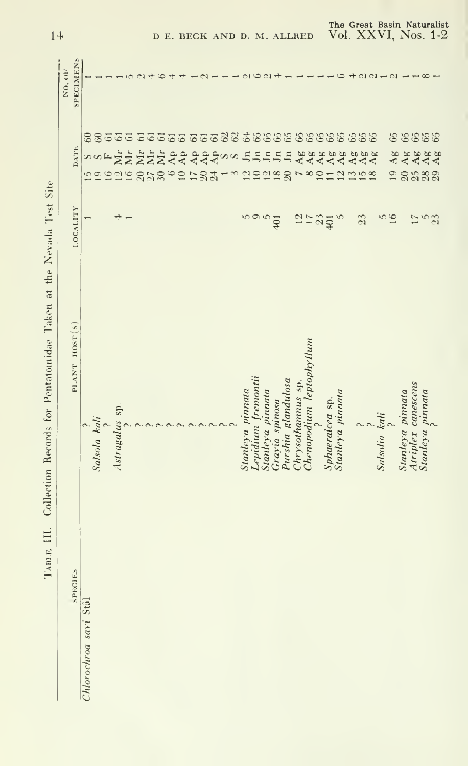TABLE III. Collection Records for Pentatomidae Taken at the Nevada Test Site

| SPECIES               | PLANT HOST(S)                                                                                                                                                                                                                                                                                                                      | <b>1.OCALITY</b> | <b>DATE</b>                                             | SPECIMEN'S<br>NO.OF                          |
|-----------------------|------------------------------------------------------------------------------------------------------------------------------------------------------------------------------------------------------------------------------------------------------------------------------------------------------------------------------------|------------------|---------------------------------------------------------|----------------------------------------------|
|                       |                                                                                                                                                                                                                                                                                                                                    |                  |                                                         |                                              |
| Chlorochroa sayi Stål | $\begin{array}{c}\n\phantom{000000000} & \phantom{00000000} & \phantom{00000000} & \phantom{00000000} & \phantom{00000000} & \phantom{00000000} & \phantom{000000000} & \phantom{0000000000} & \phantom{00000000000} & \phantom{000000000000} & \phantom{0000000000000} & \phantom{000000000000000} & \phantom{000000000000000} &$ |                  |                                                         |                                              |
|                       |                                                                                                                                                                                                                                                                                                                                    |                  |                                                         |                                              |
|                       |                                                                                                                                                                                                                                                                                                                                    |                  | <b>SOF</b><br>1996                                      |                                              |
|                       | Astragalus sp.                                                                                                                                                                                                                                                                                                                     | ᅲ                | 88555                                                   |                                              |
|                       |                                                                                                                                                                                                                                                                                                                                    |                  | $\overline{\text{M}}_r$<br>$\frac{2}{16}$               |                                              |
|                       |                                                                                                                                                                                                                                                                                                                                    |                  | $\overline{6}$<br><b>AHAAAAAA</b><br>858°2188           |                                              |
|                       |                                                                                                                                                                                                                                                                                                                                    |                  | 61                                                      |                                              |
|                       |                                                                                                                                                                                                                                                                                                                                    |                  | $61\,$                                                  |                                              |
|                       |                                                                                                                                                                                                                                                                                                                                    |                  |                                                         |                                              |
|                       |                                                                                                                                                                                                                                                                                                                                    |                  | $\overline{6}$                                          |                                              |
|                       |                                                                                                                                                                                                                                                                                                                                    |                  |                                                         |                                              |
|                       |                                                                                                                                                                                                                                                                                                                                    |                  |                                                         |                                              |
|                       |                                                                                                                                                                                                                                                                                                                                    |                  |                                                         |                                              |
|                       |                                                                                                                                                                                                                                                                                                                                    |                  | $\overline{a}$                                          |                                              |
|                       |                                                                                                                                                                                                                                                                                                                                    |                  | s s<br>$\mathfrak{D}$                                   |                                              |
|                       | Stanleya pinnata                                                                                                                                                                                                                                                                                                                   |                  | Jn                                                      |                                              |
|                       | Lepidium fremontii                                                                                                                                                                                                                                                                                                                 | 10 Q 10          | $J_{11}$                                                |                                              |
|                       | Stanleya pinnata                                                                                                                                                                                                                                                                                                                   |                  | J <sub>n</sub><br>dodge                                 | $\mathbb{C}^1$                               |
|                       | Grayia spinosa                                                                                                                                                                                                                                                                                                                     | $\overline{401}$ | Jn                                                      |                                              |
|                       | Purshia glandulosa                                                                                                                                                                                                                                                                                                                 |                  | Jn                                                      |                                              |
|                       | Chrysothamnus sp.                                                                                                                                                                                                                                                                                                                  |                  | $\overline{a}$                                          |                                              |
|                       | Chenopodium leptophyllum                                                                                                                                                                                                                                                                                                           |                  | $\frac{8}{10}$                                          |                                              |
|                       |                                                                                                                                                                                                                                                                                                                                    | 2504             | Ages<br>A44                                             |                                              |
|                       | Sphaeralcea sp.                                                                                                                                                                                                                                                                                                                    |                  | Ag                                                      |                                              |
|                       | Stanleya pinnata                                                                                                                                                                                                                                                                                                                   | $\tilde{5}$      | $11 \frac{Ag}{Ag}$                                      |                                              |
|                       |                                                                                                                                                                                                                                                                                                                                    |                  |                                                         | $\div$                                       |
|                       |                                                                                                                                                                                                                                                                                                                                    | 23               | 55588555555555555<br>13 A48<br>115 A48<br>119 A48<br>Ag |                                              |
|                       |                                                                                                                                                                                                                                                                                                                                    |                  | Ag                                                      | $\begin{array}{c}\n0 \\ 0 \\ 0\n\end{array}$ |
|                       | Salsolia kali                                                                                                                                                                                                                                                                                                                      | $\frac{5}{16}$   |                                                         |                                              |
|                       |                                                                                                                                                                                                                                                                                                                                    |                  | Ag<br>$\overline{19}$                                   |                                              |
|                       | Atriplex canescens<br>Stanleya pinnata                                                                                                                                                                                                                                                                                             |                  |                                                         |                                              |
|                       | Stanleya pinnata                                                                                                                                                                                                                                                                                                                   |                  |                                                         | $\infty$                                     |
|                       |                                                                                                                                                                                                                                                                                                                                    | $\frac{75}{3}$   | 66666<br>88888<br>នននន                                  |                                              |
|                       |                                                                                                                                                                                                                                                                                                                                    |                  |                                                         |                                              |

The Great Basin Naturalist<br>Vol. XXVI, Nos. 1-2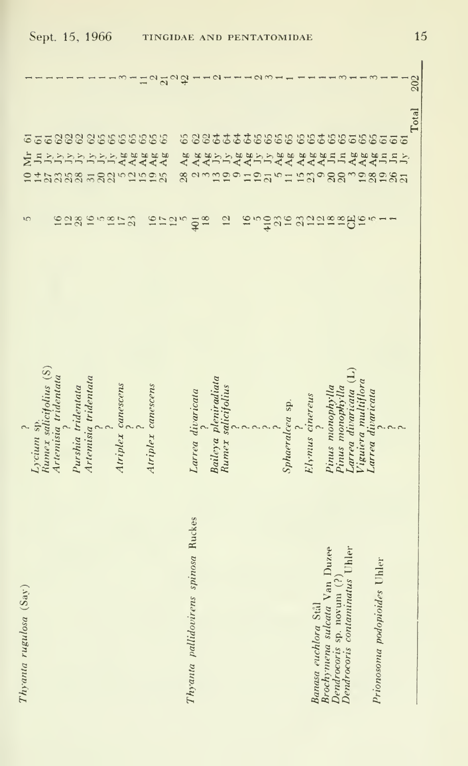| Sept. 15, 1966                                                          |                                                                                                                                                                                                   |                      |                                      |                    |          | TINGIDAE AND PENTATOMIDAE |    |                   |                              |                                      |                |                      |                       |        |    |     |                 |                      |                              |                  |                                                             |                            |                                          |                              |                                                                 |       | 15  |
|-------------------------------------------------------------------------|---------------------------------------------------------------------------------------------------------------------------------------------------------------------------------------------------|----------------------|--------------------------------------|--------------------|----------|---------------------------|----|-------------------|------------------------------|--------------------------------------|----------------|----------------------|-----------------------|--------|----|-----|-----------------|----------------------|------------------------------|------------------|-------------------------------------------------------------|----------------------------|------------------------------------------|------------------------------|-----------------------------------------------------------------|-------|-----|
|                                                                         |                                                                                                                                                                                                   |                      |                                      |                    |          |                           | ត  | $\mathbf{\Omega}$ |                              |                                      |                |                      |                       |        |    |     |                 |                      |                              |                  |                                                             |                            |                                          |                              |                                                                 |       | 202 |
| 6668888666666<br>Jn<br>ż<br>212222<br>S                                 | $\begin{array}{c} \displaystyle{1 \over 2} \displaystyle{1 \over 2} \displaystyle{1 \over 2} \displaystyle{1 \over 2} \displaystyle{1 \over 2} \displaystyle{1 \over 2} \end{array}$<br>122819523 | Jy                   | Š<br>$\dot{\mathcal{L}}$<br>52252525 |                    | Ag<br>Ag | 8888<br>AAA               | 17 | 12                | 65<br>Ag<br>28<br>$\sqrt{2}$ | $\overline{401}$                     | Ag<br>Ag<br>18 |                      | S,<br>$\overline{c}$  | あおびりょう | 16 | 410 |                 | 444                  | gr gangggg                   | Jn               | Jn                                                          | Adaga<br>AAA               |                                          | ١C                           | 225555588888558558655<br><b>Jns</b><br>anggonggyng ngogganggagg | Total |     |
| Runnex salicifolius (S)<br>Artemisia tridentata<br>Lycium sp.<br>$\sim$ | Purshia tridentata                                                                                                                                                                                | Artemisia tridentata |                                      | Atriplex canescens |          | Atriplex canescens        |    |                   |                              | Larrea divaricata                    |                | Baileya pleniradiata | salicifolius<br>Rumex |        |    |     | Sphaeralcea sp. | Elymus cinereus      |                              | Pinus monophylla | Pinus monophylla                                            | $\Xi$<br>Larrea divaricata | Viguiera multiflora<br>Larrea divaricata |                              |                                                                 |       |     |
| This and a rule also (Say)                                              |                                                                                                                                                                                                   |                      |                                      |                    |          |                           |    |                   |                              | Thyanta pallidovirens spinosa Ruckes |                |                      |                       |        |    |     |                 | Banasa euchlora Stål | Brochymena sulcata Van Duzee |                  | Dendrocoris sp. novum (?)<br>Dendrocoris contaminatus Uhler |                            |                                          | Prionosoma podopioides Uhler |                                                                 |       |     |